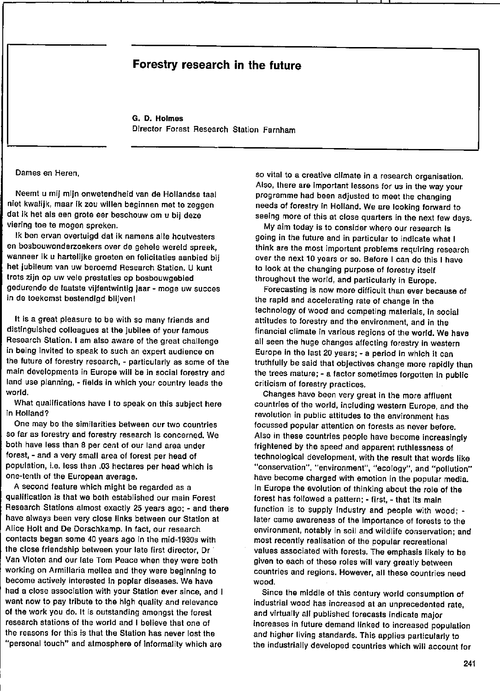## Forestry research in the future

G. D. Holmes Director Forest Research Station Farnham

Dames en Heren,

Neemt u mij mijn onwetendheid van de Hollandse taal niet kwalijk, maar ik zou willen beginnen met te zeggen dat ik het als een grote eer beschouw om u bij deze viering toe te mogen spreken.

Ik ben ervan overtuigd dat ik namens alle houtvesters en bosbouwonderzoekers over de gehele wereld spreek, wanneer ik u hartelijke groeten en felicitaties aanbied bij het jubileum van uw beroemd Research Station. U kunt trots zijn op uw vele prestaties op bosbouwgebied gedurende de laatste vijfentwintig jaar - moge uw succes in de toekomst bestendigd blijven I

It is a great pleasure to be with so many friends and distingulshed colleagues at the jubilee of your famous Research Station. I am also aware of the great challenge in being invited to speak to such an expert audience on the future of forestry research, - particularly as some of the main developments in Europe will be in social forestry and land use planning, - fields in which your country leads the world.

What qualifications have I to speak on this subject here in Holland?

One may be the similarities between our two countries so far as forestry and forestry research is concerned. We both have less than 8 per cent of our land area under forest, - and a very small area of forest per head of population, i.e. less than .03 hectares per head which is one-tenth of the European average.

A second feature which might be regarded as a qualification is that we bolh established our main Forest Research Stations almost exactly 25 years ago; - and there have always been very close links between our Station at Alice Holt and De Dorschkamp. In fact, our research conlacts began some 40 years ago In the mid-1930s with the close friendship between your late first director, Dr Van Vloten and our late Tom Peace when they were both working on Armillaria mellea and they were beginning to become actively interested in poplar diseases. We have had a close association with your Station ever since, and I want now to pay tribute to the high quality and relevanee of the work you do. ft is outstanding amongst the forest research stations of the world and I believe that one of the reasons for this is that the Station has never lost the "personal touch" and atmosphere of informality which are

50 vital to a creative cllmate in a research organisation. Also, there are important lessons for us in the way your programme had been adjusted to meet the changing needs of forestry in Holland. We are looking forward to seeing more of this at close quarters in the next few days.

My aim today is to consider where our research is going in the future and in particular to indicate what I think are the most important problems requiring research over the next 10 years or so. Before I can do this I have to look at the changing purpose of forestry itself throughout the world, and particularly in Europe.

Forecasting is now more difficult than ever because of the rapid and accelerating rate of change in the technology of wood and competing materiais, in social attitudes to forestry and the environment, and in the financial climate in various regions of the world. We have all seen the huge changes affecting forestry in western Europe in the last 20 years; - a period in which It can truthfully be sald that objectives change more rapidly than the trees mature; - a factor sometimes forgotten in public criticism of forestry practices.

Changes have been very great in the more affluent countries of the world, including western Europa, and Ihe revolution in public attitudes to the environment has focussed popular attention on forests as never betore. Also in these countries people have become increasingly frightened by the speed and apparent ruthlessness of technological development, with the result that words fika "conservation", "environment", "ecology", and "pollution" have become charged with emotion in the popular media. In Europe the evolution of thinking about the role of the forest has followed a pattern; - first, - that its main function is to supply industry and people with wood;  $$ later came awareness of the importance of forests to the environment, notably in soil and wildlife conservation; and most recently realisation of the popular recreational values associated with forests. The emphasis likely to be given to each of these roles will vary greatly between countries and regions. However, all these countries need wood.

Since the middle of this century world consumption of industrial wood has increased at an unprecedented rate, and virtually alf published forecasts indicate major increases in future demand linked to increased population and higher living standards. This applies particularly to the industrially developed countries which will account for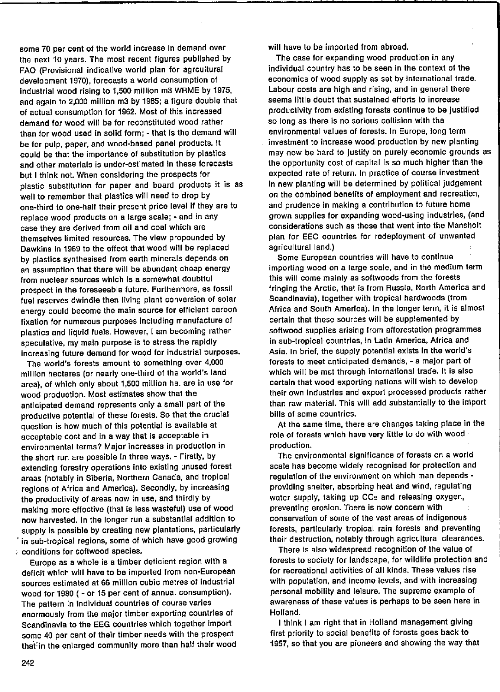some 70 per cent of the world increase in demand over the next 10 years. The most recent figures published by FAO (Provisional indicative world plan for agrcultural development 1970), forecasts a world consumption of industrial wood rising to 1,500 million m3 WRME by 1975, and again to 2,000 million m3 by 1985; a figure double that of actual consumption *tor* 1962. Most of this increased demand *tor* wood wiJl be for reconstituted wood rather than for wood used in solid form; - that is the demand will be *tor* pulp, paper, and wood-based panel products. It could be that the importance of substitution by plastics and other materials is under-estimated in these forecasts but I think not. When considering the prospects for plastic substitution for paper and board products it is as well to remember that plastics will need to drop by one-third to one-half their present price level if they are to replace wood produets on a large scale: - and in any case they are derived *trom* oil and coal which are themselves Iimited resources. The view propounded by Dawkins in 1969 to the effect that wood wil! be replaced by plastics synthesised from earth minerals depends on an assumption that there wlll be abundant cheap energy from nuclear sources which is a somewhat doubtful prospect In the foreseeable future. Furthermore, as fossil fuel reserves dwindle then living plant conversion of solar energy could become the main source *tor* efficient carbon fixation for numerous purpases including manufacture of plastics and liquid fuels. However, I am becoming rather speculative, my main purpose is to stress the rapidly increasing future demand for wood for industrial purposes.

The world's forests amount to something over 4,000 million hectares (ar nearly one-third of the world's land area), of which only about 1,500 milIIon ha. are in use for wood production. Most estimates show that the anticipated demand represents only a small part of the productive potential of these forests. So that the crucial question is how much of this potential is available at acceptable cost and in a way that is acceptable in environmental terms? Major increases in production in the short run are possible in three ways. - Firstly, by extending forestry operatlons Into existing unused forest areas (notably in Siberia, Northern Canada, and tropical regions of Africa end America). Secondly, by increasing the productivity of areas now in use, and thirdly by making more effective (that is less wasteful) use of wood now harvested. In the longer run a substantial addition to supply is possible by creating new plantations, particularly in sub-tropical regions, some of which have good growing conditions for softwood species.

Europe as a whole is a timber deficient region with a deficit which will have to be imported from non-European sources estimated at 66 million cubic metres of industrial wood for 1980 ( - or 15 per cent of annual consumption). The pattern in individual countries of course varies enormously from the major timber exporting countrles of Scandinavia to the EEG countries which together import some 40 per cent of their timber needs with the prospect that:in the enlarged community more than half thelr wood will have to be imported from abroad.

The case for expanding wood production in any individual country has to be seen in the context of the economics of wood supply as set by international trade. Labour costs are high and rising, and in general there seems little doubt that sustained efforts to increase productivity from existing torests continue to be justified 50 long as there is no serious collision with the environmental values of forests. In Europe, long term investment to increase wood production by new planting may ·now be hard to justify on purely economic grounds as the opportunity cost of capital is so much higher than the expected rate of return. In practice of course investment in new planting will be determined by political Judgement on the combined benefits of employment and recreation, and prudence in making a contribution to future home grown supplies for expanding wood-using industries, (and considerations such as those that went into the Mansholt plan for EEC countries for redeployment of unwanted agricultural land.)

Some European countries will have to continue importing wood on a large scale, and in the medium term this will come mainly as softwoods from the forests fringing the Arclie, that is from Russia, North America and Scandinavia), together with tropical hardwoods (from Afrlca and South America). In the longer term, it is a1most certain that these sources wiU be supplemented by softwood supplies arising from afforestation programmes in sub-tropica1 countries, in latin America, Africa and Asia. In brief, the supply potential exists in the world's forests to meet anticipated demands, - a major part of which will be met through international trade. It is also certain that wood exporting nations will wish to develop their own industries and export processed produets rather than raw material. This will add substantially to the import bills of some countries.

At the same time, there are changes laking place in the role of forests which have very little to do with wood production.

The environmental significance of forests on a world scale has become widely recognised for protection and regulation of the environment on which man depends providing shelter, absorbing heat and wind, regulating water supply, taking up CO<sub>2</sub> and releasing oxygen, preventing erosion. There is now concern with conservation of some of the vast areas of indigenous forests, particularly tropical rain forests and preventing their destruction, notably through agricultural clearances.

There is also widespread recognition of the value of forests to society for landscape, for wildlife protection and for recreational activities of all kinds. These values rise with population, and income levels, and with increasing personal mobility and leisure. The supreme example of awareness of these values is perhaps to be seen here in Holland.

I think I am right that in Holland management giving first priority to social benefits of forests goes back to 1957, so that you are pioneers and showing the way that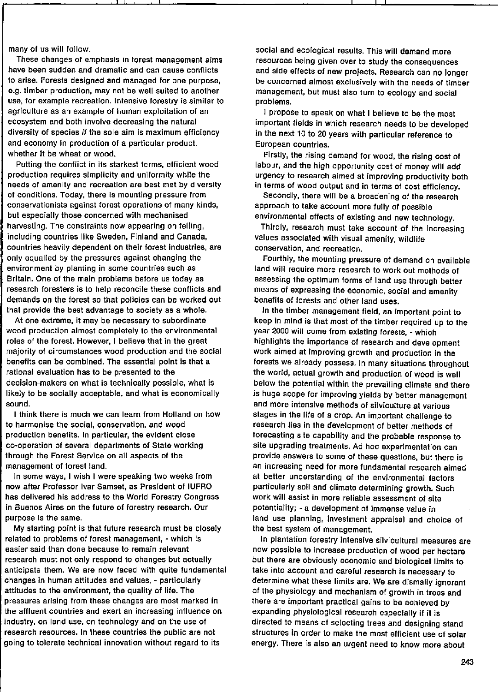many of us will follow.

These changes of emphasis in forest management aims have been sudden and dramatic and can cause confliets to arise. forests designed and managed for one purpose, e.g. timber production, may not be well suited to another use, for example recreation. Intensive forestry is similar to agriculture as an example of human exploitation of an ecosystem and bath involve decreasing the nalural diversity of species if the sole aim is maximum efficiency and economy in production of a particular product, whether it be wheat or wood.

Putting the conflict in its starkest terms, efficient wood production requires simplicity and uniformity while the needs of amenity and recreation are best met by diversity of conditions. Today, there is mounting pressure from conservationists against torest operations of many kinds, but especially those concerned with mechanised harvesting. The constraints now appearing on felling, including countries like Sweden, Finland and Canada. countries heavily dependent on their forest industries, are only equalled by the pressures against changing the environment by planting in some countries such as Britain. One of the main problems before us today as research foresters is to help reconcile these conflicts and demands on the torest so that policies can be worked out that provide the best advantage to society as a whoie.

At one extreme, it may be necessary to subordinate wood production almost completely to the environmental roles of the forest. However, I believe that in the great majority of circumstances wood production and the social benefits can be combined. The essential point is that a rational evaluation has to be presented to the decision-makers on what is technically possible, what is likely to be socially acceptable, and what is economically sound.

I think there is much we can learn from Holland on how to harmonise the social, conservation, and wood production benefits. In particular, the evident close co·operation of several departments of State working through the Forest Service on all aspects of the management of forest land.

In some ways, I wish I were speaking two weeks from now after Professor Ivar Samset, as President of IUFRO has delivered his address to the World Forestry Congress in Buenos Aires on the future of forestry research. Dur purpose is the same.

My starting point is that future research must be closely related 10 problems of forest management, - which is easier said than done because to remain relevant research must not only respond to changes but actually anticipate them. We are now faced with quite tundamental changes in human attitudes and values, - particularly attitudes to the environment, the quality of lite. The pressures arising from these changes are most marked in the affluent countries and exert an increasing influence on industry, on land use, on technology and on the use ot research resources. In these countries the public are not going to tolerate technical innovation without regard to its

soeial and ecological results. This will demand more resources being given over to study the consequences and side sffects of new projects. Research can no longer be concerned almost exclusively with the needs of timber management, but must also turn to ecology and social problems.

I propose to speak on what I believe to be the most important fields in which research needs to be developed in the next 10 to 20 years with particular reference to European countries.

Firstly, the rising demand for wood, the rising cost of labour, and the high opportunity cost of money will add urgency to research aimed at improving productivity both in terms of wood output and in terms of cost efficiency.

Secondly, there will be a broadening of the research approach to take account more fully of possible environmental effects of existing and new technology.

Thirdly, research must take account of the increasing values associated with visual amenity, wildlife conservation, and recreation.

Fourthly, the mounting pressure of demand on available land will require more research to work out methods of assessing the optimum forms of land use through better means of expressing the economic, soclal and amenity benefits of forests and other land uses.

In the timber management field, an important point to keep in mind is that most of the limber required up to the year 2000 will come from existing forests, - which highlights the importance ot research and development work aimed at improving growth and production in the forests we already possess. In many situations throughout the world, actual growth and production of wood is well below the potential within the prevailing climate and there is huge scope for improving yields by better management and more intensive methods of silviculture at various stages in the life of a crop. An important challenge to research lies in the development of better methads of forecasting site capability and the probable response to site upgrading treatments. Ad hoc experlmentation can provide answers to some of these questions, but there is an increasing need for more fundamental research aimed at better understanding ot the environmental factors particularly soil and climate determining growth. Such work will assist in more reliable assessment of site potentiality; - a development of immense value in land use planning, investment appraisal and choice of the best system of management.

In plantation forestry intensive sflvicultural measures are now possible to increase production of wood per hectare but there are obviously economie and biological limits to take into account and careful research is necessary to determine what these limits are. We are dismally ignorant of the physiology and mechanism of growth in trees and there are important practical gains to be achieved by expanding physiological research especially if it is directed to means of selecting trees and designing stand structures in order to make the most efficient use of solar energy. There is also an urgent need to know more about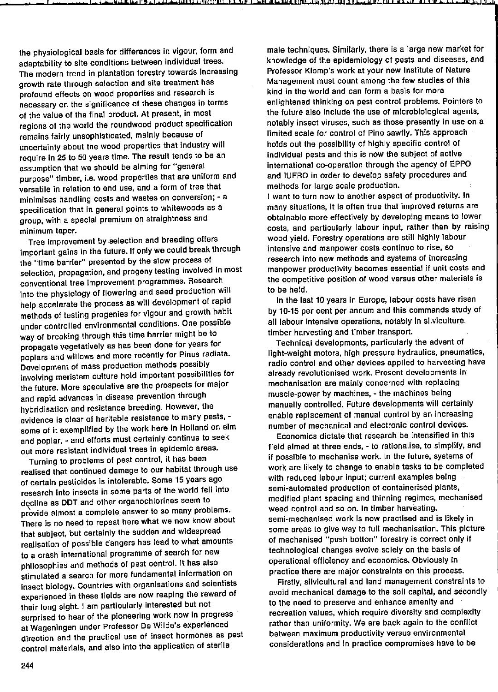the physiological basis for differences in vigour, form and adaptability to site conditions between individual trees. The modern trend in plantation forestry towards increasing growth rate through selection end site treatment has profound effeets on wood properties and research is necessary on the significance of these changes in terms of the value of the final product. At present, in most regions of the world the roundwood product specification remains fairly unsophisticated, mainly beeause of uncertainty about the wood properties that industry will require in 25 to 50 years time. The result tends to be an assumption that we should be aiming for "general purpose" timber, i.e. wood properties that are uniform and versatile in relation to end use, and a form of tree that minimises handling casts and wastes on conversion; - a specification that in general points to whitewoods as a group, with a special premium on straightness and minimum taper.

. , , , , ,

Tree improvement by selection and breeding offers important gains in the future. If only we could break through the "time barrier" presented by the slow process of selection, propagation, and progeny testing involved in most conventional tree improvement programmes. Research into the physiology of flowering and seed production will help accelerate the process as will development of rapid methods of testing progenies tor vigour and growth habit under controlled environmental conditions. One possible way of breaking through this time barrier might be to propagate vegetatively as has been done for years for poplars and willows end more recently for Pinus radiata. Development of mass production methods possibly involvlng meristem culture hold important possibllities for the future. More speculative are the prospeets for major and rapld advances in disease prevention through hybridisation and resistance breeding. However, the evidence is clear of heritable resistence to many pests, some of it exemplified by the work here in Holland on elm and poplar, - and efforts must certainly continue to seek out more resistant individual trees in epidemic areas.

Turning to problems of pest control, it has been realised that continued damage to our habitat through use of certain pesticides is intolerable. Same 15 years ago research into insects in some parts of the world fell into decllne as DDT and other organochlorines seem to provide almost a complete answer to so many problems. There is no need to repeat here what we now know about that subject, but certainly the sudden and wldespread realisation of possible dangers has lead to what amounts to a crash international programme of search for new philosophies and methods of pest control. It has also stimulated a search for more fundamental information on Insect biology. Countries with organisatians and scientists experienced in these fields are now reaping the reward of thelr long slght. I am particularly interested but not surprised to hear of the pioneering work now in progress at Wageningen under Professor De Wl1de's experlenced direction and the practical use of insect harmanes as pest control materials, and also into the application of sterile

male techniques. Similarly, there is a large new market far knawledge of the epidemiolagy of pests and diseases, and Professor Klomp's wark at your new Institute of Nature Management must count amang the few studies of this kind in the world and can form a basis for more enlightened thinking on pest control problems. Pointers to the future also include the use of microbiological agents, notably insect viruses, such as those presently in use on a limited scale for control of Pine sawfly. This approach halds out the passibility of highly specific control of individual pests and this is now the subject of active international co-operation through the agency of EPPO and IUFRO in order to develop safety procedures and methads far large scale production.

I want to turn now to another aspect of productivity. In many situations, it is aften true that impraved returns are abtalnable more effectively by developing means ta lower costs, and particularly labour input, rather than by raising wood yield. Forestry operations are still highly labour intensive and manpower costs continue to rise, so research into new methods and systems of increasing manpower productivity becomes essential if unit casts and the competitive position of wood versus other materials is 10 be held.

In the last 10 years in Europe, labour costs have risen by 10-15 per cent per annum and this commands study of all labour intensive operations, notably in silviculture, timber harvesting and timber transport.

Technical develapments, particularly the advent of light-weight motors, high pressure hydraulics, pneumatics, radio control and other devices applied to harvesting have already revalutionised work. Present developments in mechanisation are mainly concerned with replacing muscle-power by machines, - the machines being manually controlled. Future developments will certainly enable replacement of manual control by an increasing number of mechanical and electranic control devices.

Economics dictate that research be intensified in this field aimed at three ends, - to ratianalise, to simpllfy, and If possible to mechanise work. In the future, systems of work are likely to change to enable tasks to be completed with reduced labour input; current examples being semi-autamated production of containerised plants, modified plant spacing and thinning regimes, mechanised weed control and so on. In timber harvesting, semi-mechanised work is now practised and is likely in some areas to give way to full mechanisation. This picture of mechanised "push botton" forestry is correct only if technolagical Changes evolve salely on the basis of aperatianal efficiency and econamics. Obviously in practice there are major constraints on this process.

Firstly, silvicultural and land management constraints ta avoid mechanical damage to the soil capital, and secondly to the need to preserve and enhance amenity and recreation values, which require diversity and complexity rather than uniformity. We are back again to the conflict between maximum productivity versus environmental considerations and in practice compromises have ta be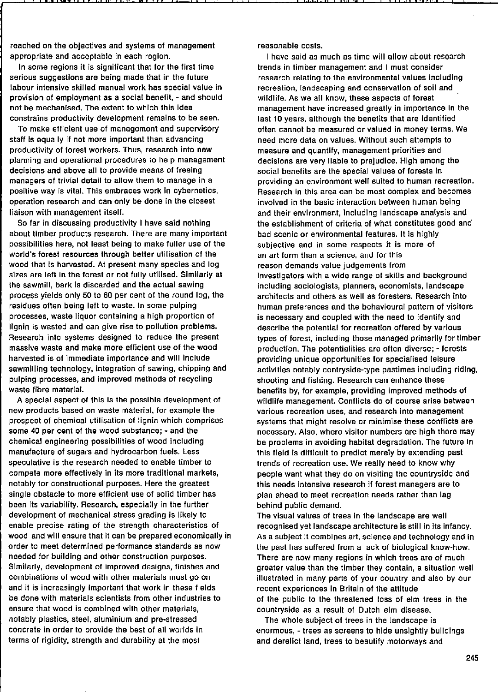reached on the objectives and systems of management appropriate and acceplable in each region.

In some regions it is significant that for the first time serious suggestions are being made that in the future labour intensive skilled manual work has special value in provision of employment as a soclal benefit, - and should not be mechanised. The extent to which this idea constrains productivity development remains to be seen.

Ta make efficient use of management and supervisory staft Is equally if not more important than advancing productivity of forest workers. Thus, research into new planning and operational procedures to help management decisions and above all to provide means of freeing managers of trivial detail to allow them to manage in a positive way is vital. This embraces work in cybernetics, operation research and can only be done in the closest liaison with management itselt.

So far in discussing productivity I have said nothing about timber produets research. There are many important passibilities here, not least being to make fuller use of the world's forest resources through better utilisation of the wood that is harvested. At present many species and log sizes are left in the forest or not fully utilised. Similarly at the sawmill, bark is discarded and the actual sawing process yields only 50 to 60 per cent of the round log, the residues often being left to waste. In some pulping processes, waste Iiquor containing a high proportion of IIgnin is wasted and can give rise to pollution problems. Research into systems designed to reduce the present massive waste and make more efficient use of the wood harvested is of immediate importance and will include sawmilling technology, Integration of sawing, chipping and pulping processes, and improved methads of recycling waste fibre material.

A special aspect of this is the possible development of new products based on waste material, for example the prospect of chemical utilisation of lignin which comprises some 40 per cent of the wood substance; - and the chemical engineering possibilities of wood including manufacture of sugars and hydrocarbon fuels. Less speculative is the research needed to enable timber to compete more effectively in its more traditional markeis, notably for constructional purposes. Here the greatest single obstacle to more efficient use of solid timber has been its variability. Research, especially in the further development of mechanical stress grading is likely to enable precise rating of the strength characteristics of wood and wil! ensure that it can be prepared economically in order to meet determined performance standards as now needed for building and other construction purposes. Similarly, development of improved designs, finishes and combinations of wood with other materials must go on and it is increasingly important that work in these fields be done with materials scientists from other industries to ensure that wood is combined with other materials, notably plastics, steel, aluminium and pre-stressed concrete in order to provide the best of all worlds in terms of rigidity, strength and durability at the most

reasonable costs.

I have said as much as time will allow about research trends in timber management and I must consider research relating to the environmental values including recreation, landscaping and conservation of soil and wildlife. As we all know, these aspects of forest management have increased greatly in importance in the last 10 years, although the benefits that are Identified often cannot be measured or valued in money tarms. Wa need more data on values. Without such attempts to measure and quantlfy, management priorities and decislons are very liable to prejudice. High among the social benefits are the special values of forests in providing an environment weil suited to human recreation. Research in this area can be most complex and becomes involved in the basic interaction between human being and their environment, including landscape analysis and the establishment of criteria of what constitutes good and bad scenic or environmental features. It is highly subjective and in some respects it is more of an art form than a science, and for this reason demands value judgements from Investigators with a wide range of skills and background including sociologists, planners, economists, landscape architects and others as weil as foresters. Research into human preferences and the behavioural pattern of visitors is necessary and coupled with the need to identify and describe the potential for recreation offered by various types of forest, including those managed primarily for timber production. The potentialities are aften diverse; - forests providing unique opportunities for specialised leisure activilies notably contryside-type pastimes including ridlng, shooting and fishing. Research can enhance these benefits by, for example, providing improved methods of wildlife management. Conflicts do of course arise between various recreation uses, and research into management systems that might resolve or minimise these conflicts are necessary. Also, where visitor numbers are high there may be problems in avoiding habitat degradation. The future in this field is difficult to predict merely by extending past trends of recreation use. We really need to know why people want what they do on visiting the countryside and this needs intensive research if forest managers are to plan ahead to meet recreation needs rather than lag behind public demand.

The visual values of trees in the landscape are weil recognised yet landscape architecture is still in its infancy. As a subject it combines art, science and technology and in the past has suffered trom a lack of biological know-how. There are now many regions in which trees are of much greater value than the timber they contain, a situation weil illustrated in many parts of your country and also by our recent experiences in Britain of the attitude of the public to the threatened toss of elm trees in the countryside as a result of Dutch elm disease.

The whole subject of trees in the landscape is enormous, - trees as screens to hide unsightly buildings and derelict land, trees to beautify motorways and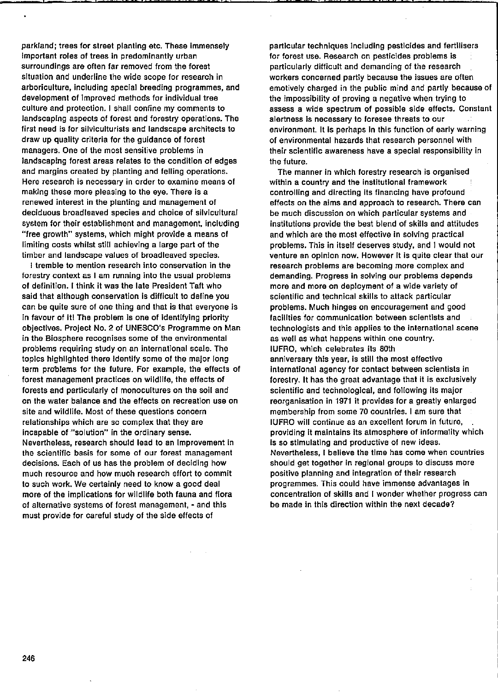parkland; trees for street planting etc. These immensely important roles of trees in predominantly urban surroundings are often far removed from the forest situation and underline the wide scope for research in arboriculture, including special breeding programmes, and development of improved methods for individual tree culture and protection. I shall confine my comments to Jandscaplng aspects of forest and forestry operations. The first need is for silviculturists and landscape architects to draw up quality criteria for the guldance of forest managers. One of the most sensitive problems in Jandscaping farest areas relates to the condition of edges and margins created by planting and felling operations. Here research is necessary in order to examine means of maklng these more pleasing to the eye. There is a renewed interest in the planting and management of deciduous broadleaved species and choice of silvicultural system for thelr establishment and management. Includlng *"tree* growth" systems, which might provide a means of limiting casts whilst still achieving a large part of the timber and landscape values of broadleaved species.

I tremble to mention research into conservation in the forestry context as I am running into the usual problems of definition. I think it was the late President Taft who said that although conservation is difficult to define you can be quite sure of one thing and that is that everyone is in favour of it! The problem is one of identifying priority obJectives. Project No. 2 of UNESCO's Programme on Man in the Biosphere recognises same of the environmental probJems requiring study on an international scale. The topics highllghted there Identlfy some of the major long term problems for the future. For example, the effects of forest management practices on wildlife, the effects of forests and particularly of monocultures on the soil and on the water balance and the effects on recreatlon use on site and wildlife. Most of these questions concern relationships which are so complex that they are incapable of "solution" in the ordinary sense. Nevertheless, research should lead to an Improvement in the scientific basis for some of our forest management decisions. Each of us has the problem of deciding how much resource and how much research effort to commit to such work. We certainly need to know a good deal more of the implications for wildllfe bath fauna and flora of alternative systems of forest management, - and this must provide for careful study of the side effects of

particular techniques including pesticides and fertilisers for forest use. Research on pesticides problems is particularly difficult and demanding of the research workers concerned partly because the issues are often emotively charged in the public mind and partly because of the impossibility of proving a negative when trying to assess a wide spectrum of possible side effects. Constant alertness Is necessary to toresee threats to our environment. It is perhaps in this function of early warning of environmental hazards that research personnel with their scientific awareness have a special responsibility in the future.

The manner in which forestry research is organised within a country and the institutlonal framework controlling and directing its financing have profound effects on the aims and approach to research. There can be much discussion on which particular systems and institutions provide the best blend of skills and attitudes and which are the most effective in solving practical problems. This in itself deserves study, and I would not venture an opinion now. However It Is quite clear that our research problems are becoming more complex and demanding. Progress in solving our problems depends more and more on deployment of a wide variety of scientific and technical skills to attack particular problems. Much hinges on encouragement and good facillties for communication between scientists and technologists and this applies to the international scene as weil as what happens within one country. IUFRO, whlch celebrates its Both anniversary this year. is still the most effective International agency for contact belween scientists in forestry. ft has the great advantage that it is exclusively scientific and technologlcal, and following its major reorganisation in 1971 it provides for a greatly enlarged membership trom same 70 countries. I am sure that IUFRO will continue as an excellent forum in future, providing it maintains its atmosphere of informality which is so stimulating and productive of new ideas. Nevertheless, I believe the time has come when countries should get together in regional groups to discuss more positive planning and integration of their research programmes. This could have immense advantages in concentration of skills and I wonder whether progress can be made in this direction within the next decade?